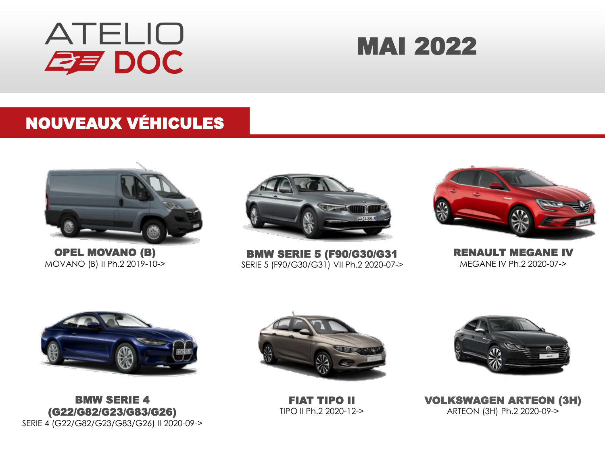

# MAI 2022

#### NOUVEAUX VÉHICULES



OPEL MOVANO (B) MOVANO (B) II Ph.2 2019-10->



BMW SERIE 5 (F90/G30/G31 SERIE 5 (F90/G30/G31) VII Ph.2 2020-07->



RENAULT MEGANE IV MEGANE IV Ph.2 2020-07->



BMW SERIE 4 (G22/G82/G23/G83/G26) SERIE 4 (G22/G82/G23/G83/G26) II 2020-09->



FIAT TIPO II TIPO II Ph.2 2020-12->



VOLKSWAGEN ARTEON (3H) ARTEON (3H) Ph.2 2020-09->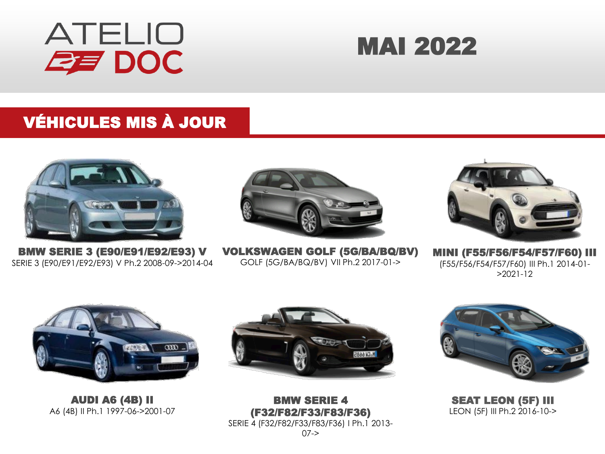

# MAI 2022

### VÉHICULES MIS À JOUR



BMW SERIE 3 (E90/E91/E92/E93) V SERIE 3 (E90/E91/E92/E93) V Ph.2 2008-09->2014-04



VOLKSWAGEN GOLF (5G/BA/BQ/BV) GOLF (5G/BA/BQ/BV) VII Ph.2 2017-01->



MINI (F55/F56/F54/F57/F60) III (F55/F56/F54/F57/F60) III Ph.1 2014-01- >2021-12



AUDI A6 (4B) II A6 (4B) II Ph.1 1997-06->2001-07



BMW SERIE 4 (F32/F82/F33/F83/F36) SERIE 4 (F32/F82/F33/F83/F36) I Ph.1 2013-  $07 - >$ 



SEAT LEON (5F) III LEON (5F) III Ph.2 2016-10->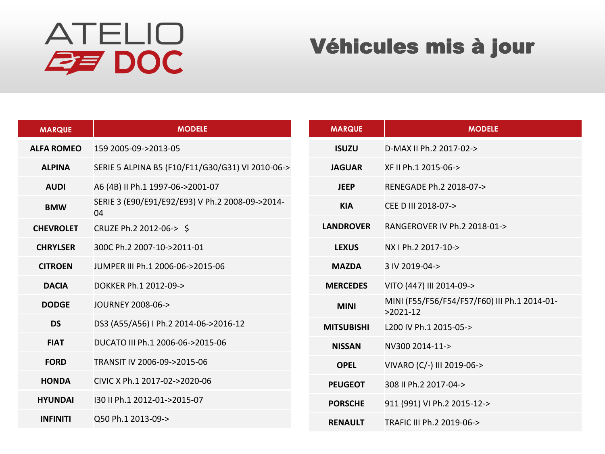# **ATELIO EF DOC**

## Véhicules mis à jour

| <b>MARQUE</b>     | <b>MODELE</b>                                         |  |  |  |  |
|-------------------|-------------------------------------------------------|--|--|--|--|
| <b>ALFA ROMEO</b> | 159 2005-09->2013-05                                  |  |  |  |  |
| <b>ALPINA</b>     | SERIE 5 ALPINA B5 (F10/F11/G30/G31) VI 2010-06->      |  |  |  |  |
| <b>AUDI</b>       | A6 (4B) II Ph.1 1997-06->2001-07                      |  |  |  |  |
| <b>BMW</b>        | SERIE 3 (E90/E91/E92/E93) V Ph.2 2008-09->2014-<br>04 |  |  |  |  |
| <b>CHEVROLET</b>  | CRUZE Ph.2 2012-06-> \$                               |  |  |  |  |
| <b>CHRYLSER</b>   | 300C Ph.2 2007-10->2011-01                            |  |  |  |  |
| <b>CITROEN</b>    | JUMPER III Ph.1 2006-06->2015-06                      |  |  |  |  |
| <b>DACIA</b>      | DOKKER Ph.1 2012-09->                                 |  |  |  |  |
| <b>DODGE</b>      | JOURNEY 2008-06->                                     |  |  |  |  |
| <b>DS</b>         | DS3 (A55/A56) I Ph.2 2014-06->2016-12                 |  |  |  |  |
| <b>FIAT</b>       | DUCATO III Ph.1 2006-06->2015-06                      |  |  |  |  |
| <b>FORD</b>       | TRANSIT IV 2006-09->2015-06                           |  |  |  |  |
| <b>HONDA</b>      | CIVIC X Ph.1 2017-02->2020-06                         |  |  |  |  |
| <b>HYUNDAI</b>    | 130 II Ph.1 2012-01->2015-07                          |  |  |  |  |
| <b>INFINITI</b>   | Q50 Ph.1 2013-09->                                    |  |  |  |  |

| <b>MARQUE</b>     | <b>MODELE</b>                                              |  |  |  |  |
|-------------------|------------------------------------------------------------|--|--|--|--|
| <b>ISUZU</b>      | D-MAX II Ph.2 2017-02->                                    |  |  |  |  |
| <b>JAGUAR</b>     | XF II Ph.1 2015-06->                                       |  |  |  |  |
| <b>JEEP</b>       | RENEGADE Ph.2 2018-07->                                    |  |  |  |  |
| <b>KIA</b>        | CEE D III 2018-07->                                        |  |  |  |  |
| <b>LANDROVER</b>  | RANGEROVER IV Ph.2 2018-01->                               |  |  |  |  |
| <b>LEXUS</b>      | NX I Ph.2 2017-10->                                        |  |  |  |  |
| <b>MAZDA</b>      | 3 IV 2019-04->                                             |  |  |  |  |
| <b>MERCEDES</b>   | VITO (447) III 2014-09->                                   |  |  |  |  |
| <b>MINI</b>       | MINI (F55/F56/F54/F57/F60) III Ph.1 2014-01-<br>$>2021-12$ |  |  |  |  |
| <b>MITSUBISHI</b> | L200 IV Ph.1 2015-05->                                     |  |  |  |  |
| <b>NISSAN</b>     | NV300 2014-11->                                            |  |  |  |  |
| <b>OPEL</b>       | VIVARO (C/-) III 2019-06->                                 |  |  |  |  |
| <b>PEUGEOT</b>    | 308 II Ph.2 2017-04->                                      |  |  |  |  |
| <b>PORSCHE</b>    | 911 (991) VI Ph.2 2015-12->                                |  |  |  |  |
| <b>RENAULT</b>    | TRAFIC III Ph.2 2019-06->                                  |  |  |  |  |